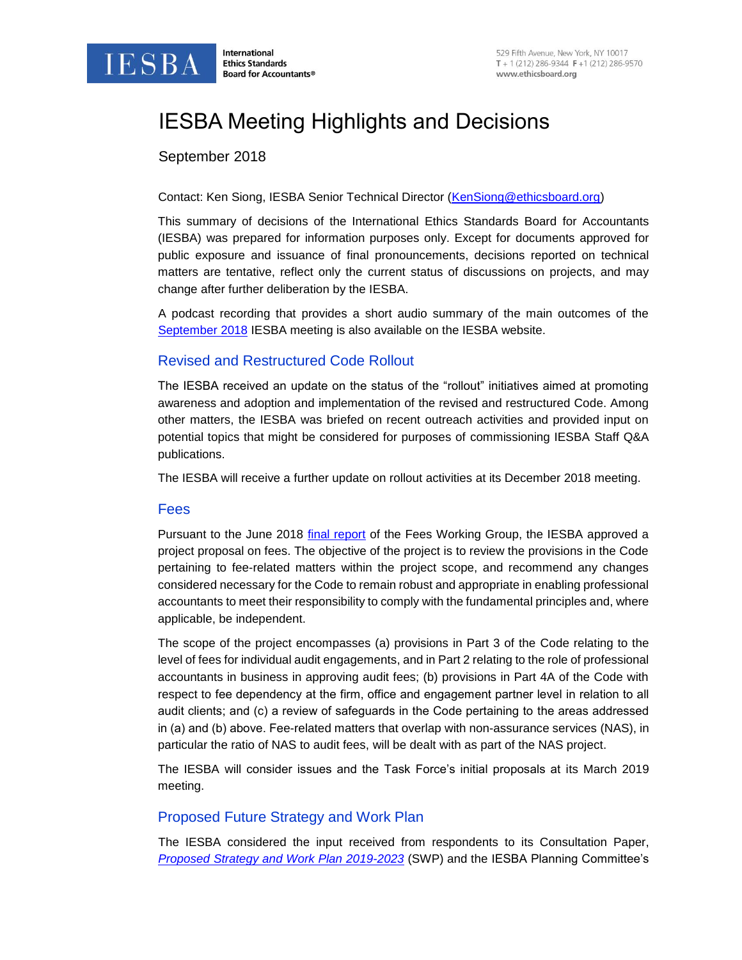

# IESBA Meeting Highlights and Decisions

## September 2018

#### Contact: Ken Siong, IESBA Senior Technical Director [\(KenSiong@ethicsboard.org\)](mailto:KenSiong@ethicsboard.org)

This summary of decisions of the International Ethics Standards Board for Accountants (IESBA) was prepared for information purposes only. Except for documents approved for public exposure and issuance of final pronouncements, decisions reported on technical matters are tentative, reflect only the current status of discussions on projects, and may change after further deliberation by the IESBA.

A podcast recording that provides a short audio summary of the main outcomes of the [September 2018](http://www.ifac.org/news-events/2018-09/iesba-september-2018-meeting-highlights-podcast) IESBA meeting is also available on the IESBA website.

#### Revised and Restructured Code Rollout

The IESBA received an update on the status of the "rollout" initiatives aimed at promoting awareness and adoption and implementation of the revised and restructured Code. Among other matters, the IESBA was briefed on recent outreach activities and provided input on potential topics that might be considered for purposes of commissioning IESBA Staff Q&A publications.

The IESBA will receive a further update on rollout activities at its December 2018 meeting.

#### Fees

Pursuant to the June 2018 [final report](http://www.ethicsboard.org/system/files/meetings/files/Agenda-Item-3A-Report-of-the-Fees-Working-Group.pdf) of the Fees Working Group, the IESBA approved a project proposal on fees. The objective of the project is to review the provisions in the Code pertaining to fee-related matters within the project scope, and recommend any changes considered necessary for the Code to remain robust and appropriate in enabling professional accountants to meet their responsibility to comply with the fundamental principles and, where applicable, be independent.

The scope of the project encompasses (a) provisions in Part 3 of the Code relating to the level of fees for individual audit engagements, and in Part 2 relating to the role of professional accountants in business in approving audit fees; (b) provisions in Part 4A of the Code with respect to fee dependency at the firm, office and engagement partner level in relation to all audit clients; and (c) a review of safeguards in the Code pertaining to the areas addressed in (a) and (b) above. Fee-related matters that overlap with non-assurance services (NAS), in particular the ratio of NAS to audit fees, will be dealt with as part of the NAS project.

The IESBA will consider issues and the Task Force's initial proposals at its March 2019 meeting.

## Proposed Future Strategy and Work Plan

The IESBA considered the input received from respondents to its Consultation Paper, *[Proposed Strategy and Work Plan](http://www.ifac.org/publications-resources/consultation-paper-proposed-strategy-and-work-plan-2019-2023) 2019-2023* (SWP) and the IESBA Planning Committee's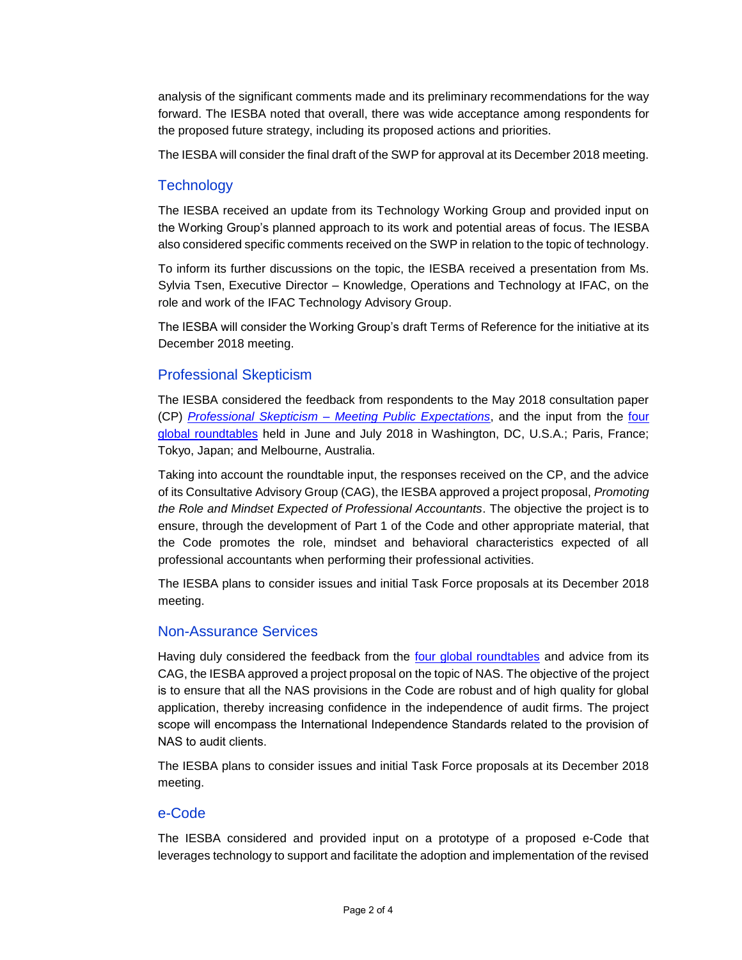analysis of the significant comments made and its preliminary recommendations for the way forward. The IESBA noted that overall, there was wide acceptance among respondents for the proposed future strategy, including its proposed actions and priorities.

The IESBA will consider the final draft of the SWP for approval at its December 2018 meeting.

## **Technology**

The IESBA received an update from its Technology Working Group and provided input on the Working Group's planned approach to its work and potential areas of focus. The IESBA also considered specific comments received on the SWP in relation to the topic of technology.

To inform its further discussions on the topic, the IESBA received a presentation from Ms. Sylvia Tsen, Executive Director – Knowledge, Operations and Technology at IFAC, on the role and work of the IFAC Technology Advisory Group.

The IESBA will consider the Working Group's draft Terms of Reference for the initiative at its December 2018 meeting.

#### Professional Skepticism

The IESBA considered the feedback from respondents to the May 2018 consultation paper (CP) *Professional Skepticism – [Meeting Public Expectations](http://www.ifac.org/publications-resources/global-ethics-board-consults-professional-skepticism)*, and the input from the [four](https://www.ethicsboard.org/roundtables-2018)  [global roundtables](https://www.ethicsboard.org/roundtables-2018) held in June and July 2018 in Washington, DC, U.S.A.; Paris, France; Tokyo, Japan; and Melbourne, Australia.

Taking into account the roundtable input, the responses received on the CP, and the advice of its Consultative Advisory Group (CAG), the IESBA approved a project proposal, *Promoting the Role and Mindset Expected of Professional Accountants*. The objective the project is to ensure, through the development of Part 1 of the Code and other appropriate material, that the Code promotes the role, mindset and behavioral characteristics expected of all professional accountants when performing their professional activities.

The IESBA plans to consider issues and initial Task Force proposals at its December 2018 meeting.

## Non-Assurance Services

Having duly considered the feedback from the [four global roundtables](https://www.ethicsboard.org/roundtables-2018) and advice from its CAG, the IESBA approved a project proposal on the topic of NAS. The objective of the project is to ensure that all the NAS provisions in the Code are robust and of high quality for global application, thereby increasing confidence in the independence of audit firms. The project scope will encompass the International Independence Standards related to the provision of NAS to audit clients.

The IESBA plans to consider issues and initial Task Force proposals at its December 2018 meeting.

#### e-Code

The IESBA considered and provided input on a prototype of a proposed e-Code that leverages technology to support and facilitate the adoption and implementation of the revised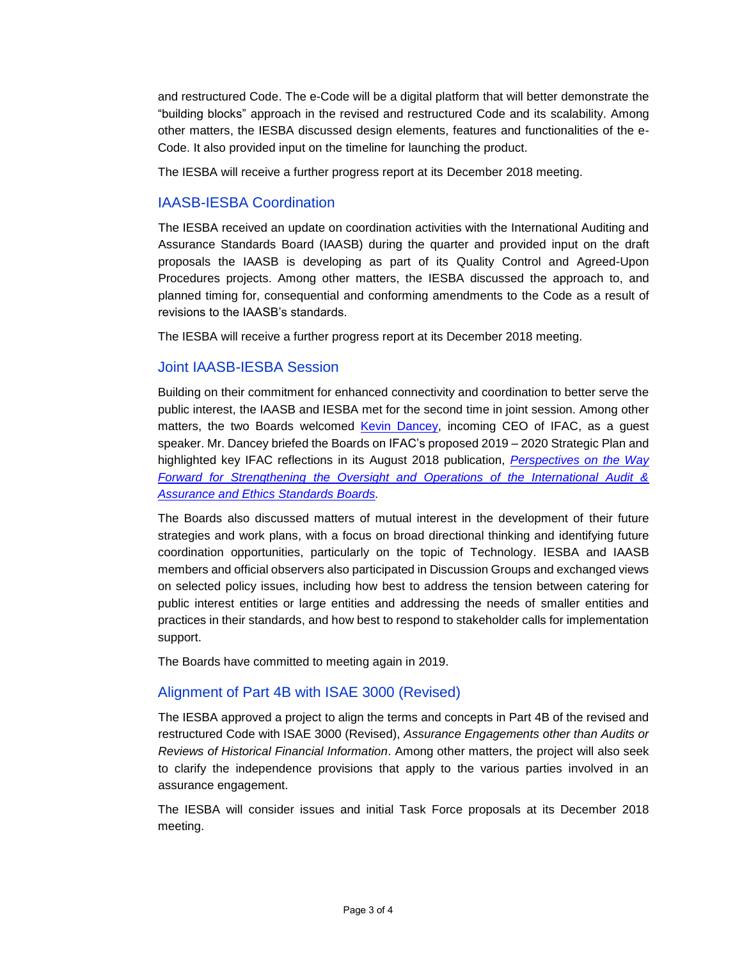and restructured Code. The e-Code will be a digital platform that will better demonstrate the "building blocks" approach in the revised and restructured Code and its scalability. Among other matters, the IESBA discussed design elements, features and functionalities of the e-Code. It also provided input on the timeline for launching the product.

The IESBA will receive a further progress report at its December 2018 meeting.

## IAASB-IESBA Coordination

The IESBA received an update on coordination activities with the International Auditing and Assurance Standards Board (IAASB) during the quarter and provided input on the draft proposals the IAASB is developing as part of its Quality Control and Agreed-Upon Procedures projects. Among other matters, the IESBA discussed the approach to, and planned timing for, consequential and conforming amendments to the Code as a result of revisions to the IAASB's standards.

The IESBA will receive a further progress report at its December 2018 meeting.

## Joint IAASB-IESBA Session

Building on their commitment for enhanced connectivity and coordination to better serve the public interest, the IAASB and IESBA met for the second time in joint session. Among other matters, the two Boards welcomed [Kevin Dancey,](http://www.ifac.org/bio/kevin-dancey) incoming CEO of IFAC, as a guest speaker. Mr. Dancey briefed the Boards on IFAC's proposed 2019 – 2020 Strategic Plan and highlighted key IFAC reflections in its August 2018 publication, *[Perspectives on the Way](http://www.ifac.org/publications-resources/perspectives-way-forward-strengthening-oversight-and-operations-international)  [Forward for Strengthening the Oversight and Operations of the International Audit &](http://www.ifac.org/publications-resources/perspectives-way-forward-strengthening-oversight-and-operations-international)  [Assurance and Ethics Standards Boards.](http://www.ifac.org/publications-resources/perspectives-way-forward-strengthening-oversight-and-operations-international)* 

The Boards also discussed matters of mutual interest in the development of their future strategies and work plans, with a focus on broad directional thinking and identifying future coordination opportunities, particularly on the topic of Technology. IESBA and IAASB members and official observers also participated in Discussion Groups and exchanged views on selected policy issues, including how best to address the tension between catering for public interest entities or large entities and addressing the needs of smaller entities and practices in their standards, and how best to respond to stakeholder calls for implementation support.

The Boards have committed to meeting again in 2019.

# Alignment of Part 4B with ISAE 3000 (Revised)

The IESBA approved a project to align the terms and concepts in Part 4B of the revised and restructured Code with ISAE 3000 (Revised), *Assurance Engagements other than Audits or Reviews of Historical Financial Information*. Among other matters, the project will also seek to clarify the independence provisions that apply to the various parties involved in an assurance engagement.

The IESBA will consider issues and initial Task Force proposals at its December 2018 meeting.